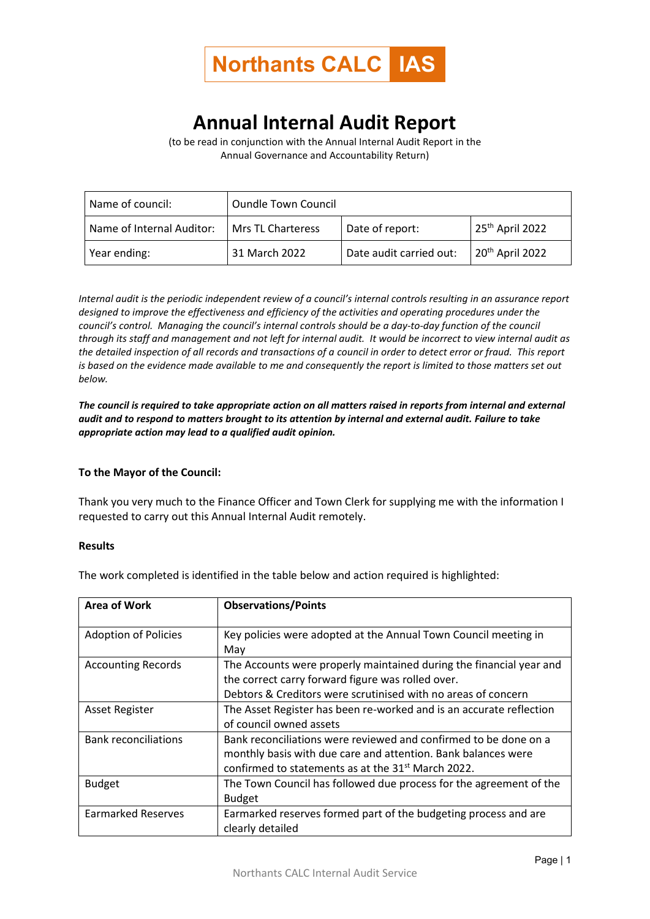

## **Annual Internal Audit Report**

(to be read in conjunction with the Annual Internal Audit Report in the Annual Governance and Accountability Return)

| Name of council:          | <b>Oundle Town Council</b> |                         |                             |
|---------------------------|----------------------------|-------------------------|-----------------------------|
| Name of Internal Auditor: | Mrs TL Charteress          | Date of report:         | 25 <sup>th</sup> April 2022 |
| Year ending:              | 31 March 2022              | Date audit carried out: | 20 <sup>th</sup> April 2022 |

*Internal audit is the periodic independent review of a council's internal controls resulting in an assurance report designed to improve the effectiveness and efficiency of the activities and operating procedures under the council's control. Managing the council's internal controls should be a day-to-day function of the council through its staff and management and not left for internal audit. It would be incorrect to view internal audit as the detailed inspection of all records and transactions of a council in order to detect error or fraud. This report is based on the evidence made available to me and consequently the report is limited to those matters set out below.*

*The council is required to take appropriate action on all matters raised in reports from internal and external audit and to respond to matters brought to its attention by internal and external audit. Failure to take appropriate action may lead to a qualified audit opinion.*

## **To the Mayor of the Council:**

Thank you very much to the Finance Officer and Town Clerk for supplying me with the information I requested to carry out this Annual Internal Audit remotely.

## **Results**

The work completed is identified in the table below and action required is highlighted:

| <b>Area of Work</b>         | <b>Observations/Points</b>                                                                                                                                                                          |
|-----------------------------|-----------------------------------------------------------------------------------------------------------------------------------------------------------------------------------------------------|
| <b>Adoption of Policies</b> | Key policies were adopted at the Annual Town Council meeting in<br>May                                                                                                                              |
| <b>Accounting Records</b>   | The Accounts were properly maintained during the financial year and<br>the correct carry forward figure was rolled over.<br>Debtors & Creditors were scrutinised with no areas of concern           |
| <b>Asset Register</b>       | The Asset Register has been re-worked and is an accurate reflection<br>of council owned assets                                                                                                      |
| <b>Bank reconciliations</b> | Bank reconciliations were reviewed and confirmed to be done on a<br>monthly basis with due care and attention. Bank balances were<br>confirmed to statements as at the 31 <sup>st</sup> March 2022. |
| <b>Budget</b>               | The Town Council has followed due process for the agreement of the<br><b>Budget</b>                                                                                                                 |
| <b>Earmarked Reserves</b>   | Earmarked reserves formed part of the budgeting process and are<br>clearly detailed                                                                                                                 |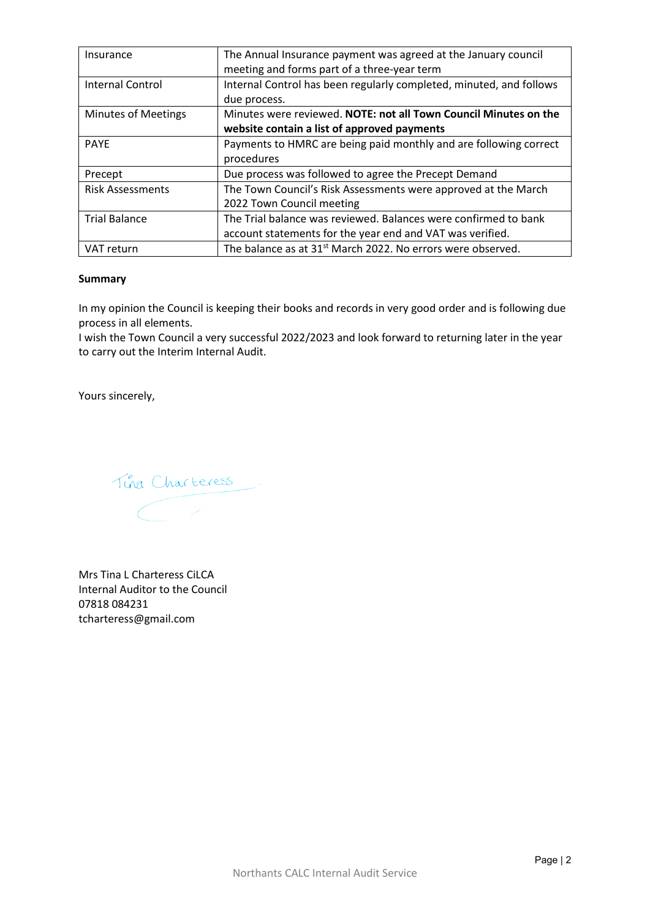| Insurance                  | The Annual Insurance payment was agreed at the January council          |  |
|----------------------------|-------------------------------------------------------------------------|--|
|                            | meeting and forms part of a three-year term                             |  |
| <b>Internal Control</b>    | Internal Control has been regularly completed, minuted, and follows     |  |
|                            | due process.                                                            |  |
| <b>Minutes of Meetings</b> | Minutes were reviewed. NOTE: not all Town Council Minutes on the        |  |
|                            | website contain a list of approved payments                             |  |
| <b>PAYE</b>                | Payments to HMRC are being paid monthly and are following correct       |  |
|                            | procedures                                                              |  |
| Precept                    | Due process was followed to agree the Precept Demand                    |  |
| <b>Risk Assessments</b>    | The Town Council's Risk Assessments were approved at the March          |  |
|                            | 2022 Town Council meeting                                               |  |
| <b>Trial Balance</b>       | The Trial balance was reviewed. Balances were confirmed to bank         |  |
|                            | account statements for the year end and VAT was verified.               |  |
| VAT return                 | The balance as at 31 <sup>st</sup> March 2022. No errors were observed. |  |

## **Summary**

In my opinion the Council is keeping their books and records in very good order and is following due process in all elements.

I wish the Town Council a very successful 2022/2023 and look forward to returning later in the year to carry out the Interim Internal Audit.

Yours sincerely,

Tina Charteress.  $\begin{pmatrix} \phantom{-} & \phantom{-} \end{pmatrix}$ 

Mrs Tina L Charteress CiLCA Internal Auditor to the Council 07818 084231 tcharteress@gmail.com